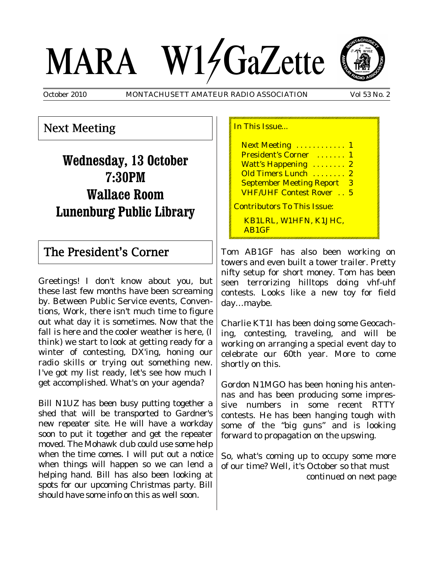# MARA W14GaZette



October 2010 MONTACHUSETT AMATEUR RADIO ASSOCIATION Vol 53 No. 2

## Next Meeting

**Wednesday, 13 October 7:30PM Wallace Room Lunenburg Public Library**

### The President's Corner

Greetings! I don't know about you, but these last few months have been screaming by. Between Public Service events, Conventions, Work, there isn't much time to figure out what day it is sometimes. Now that the fall is here and the cooler weather is here, (I think) we start to look at getting ready for a winter of contesting, DX'ing, honing our radio skills or trying out something new. I've got my list ready, let's see how much I get accomplished. What's on your agenda?

Bill N1UZ has been busy putting together a shed that will be transported to Gardner's new repeater site. He will have a workday soon to put it together and get the repeater moved. The Mohawk club could use some help when the time comes. I will put out a notice when things will happen so we can lend a helping hand. Bill has also been looking at spots for our upcoming Christmas party. Bill should have some info on this as well soon.

In This Issue...

**Next Meeting ............ 1** President's Corner ....... 1 Watt's Happening ........ 2 Old Timers Lunch ........ 2 September Meeting Report 3 VHF/UHF Contest Rover . . 5 Contributors To This Issue:

KB1LRL, W1HFN, K1JHC, AB1GF

Tom AB1GF has also been working on towers and even built a tower trailer. Pretty nifty setup for short money. Tom has been seen terrorizing hilltops doing vhf-uhf contests. Looks like a new toy for field day…maybe.

Charlie KT1I has been doing some Geocaching, contesting, traveling, and will be working on arranging a special event day to celebrate our 60th year. More to come shortly on this.

Gordon N1MGO has been honing his antennas and has been producing some impressive numbers in some recent RTTY contests. He has been hanging tough with some of the "big guns" and is looking forward to propagation on the upswing.

So, what's coming up to occupy some more of our time? Well, it's October so that must *continued on next page*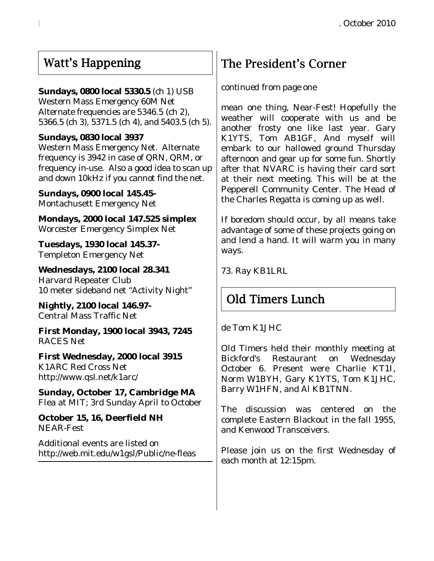## Watt's Happening

#### **Sundays, 0800 local 5330.5** (ch 1) USB

Western Mass Emergency 60M Net Alternate frequencies are 5346.5 (ch 2), 5366.5 (ch 3), 5371.5 (ch 4), and 5403.5 (ch 5).

#### **Sundays, 0830 local 3937**

Western Mass Emergency Net. Alternate frequency is 3942 in case of QRN, QRM, or frequency in-use. Also a good idea to scan up and down 10kHz if you cannot find the net.

**Sundays, 0900 local 145.45-** Montachusett Emergency Net

**Mondays, 2000 local 147.525 simplex** Worcester Emergency Simplex Net

**Tuesdays, 1930 local 145.37-** Templeton Emergency Net

**Wednesdays, 2100 local 28.341** Harvard Repeater Club 10 meter sideband net "Activity Night"

**Nightly, 2100 local 146.97-** Central Mass Traffic Net

**First Monday, 1900 local 3943, 7245** RACES Net

**First Wednesday, 2000 local 3915** K1ARC Red Cross Net http://www.qsl.net/k1arc/

**Sunday, October 17, Cambridge MA** Flea at MIT; 3rd Sunday April to October

**October 15, 16, Deerfield NH** NEAR-Fest

Additional events are listed on http://web.mit.edu/w1gsl/Public/ne-fleas

# The President's Corner

#### *continued from page one*

mean one thing, Near-Fest! Hopefully the weather will cooperate with us and be another frosty one like last year. Gary K1YTS, Tom AB1GF, And myself will embark to our hallowed ground Thursday afternoon and gear up for some fun. Shortly after that NVARC is having their card sort at their next meeting. This will be at the Pepperell Community Center. The Head of the Charles Regatta is coming up as well.

If boredom should occur, by all means take advantage of some of these projects going on and lend a hand. It will warm you in many ways.

73. Ray KB1LRL

# Old Timers Lunch

de Tom K1JHC

Old Timers held their monthly meeting at Bickford's Restaurant on Wednesday October 6. Present were Charlie KT1I, Norm W1BYH, Gary K1YTS, Tom K1JHC, Barry W1HFN, and Al KB1TNN.

The discussion was centered on the complete Eastern Blackout in the fall 1955, and Kenwood Transceivers.

Please join us on the first Wednesday of each month at 12:15pm.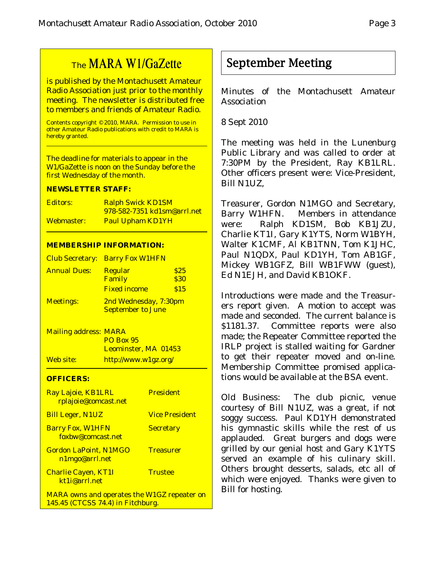## The MARA W1/GaZette

is published by the Montachusett Amateur Radio Association just prior to the monthly meeting. The newsletter is distributed free to members and friends of Amateur Radio.

Contents copyright © 2010, MARA. Permission to use in other Amateur Radio publications with credit to MARA is hereby granted.

The deadline for materials to appear in the W1/GaZette is noon on the Sunday before the first Wednesday of the month.

#### **NEWSLETTER STAFF:**

| Editors:   | <b>Ralph Swick KD1SM</b>           |
|------------|------------------------------------|
|            | <u>978-582-7351 kd1sm@arrl.net</u> |
| Webmaster: | <b>Paul Upham KD1YH</b>            |

#### **MEMBERSHIP INFORMATION:**

|                     | <b>Club Secretary: Barry Fox W1HFN</b>            |                             |
|---------------------|---------------------------------------------------|-----------------------------|
| <b>Annual Dues:</b> | Regular<br>Family<br><b>Fixed income</b>          | \$25<br><b>\$30</b><br>\$15 |
| <b>Meetings:</b>    | 2nd Wednesday, 7:30pm<br><b>September to June</b> |                             |

Mailing address: MARA PO Box 95 Leominster, MA 01453 Web site: http://www.w1gz.org/

#### **OFFICERS:**

| Ray Lajoie, KB1LRL<br>rplajoie@comcast.net                                              | <b>President</b>      |
|-----------------------------------------------------------------------------------------|-----------------------|
| <b>Bill Leger, N1UZ</b>                                                                 | <b>Vice President</b> |
| <b>Barry Fox, W1HFN</b><br>foxbw@comcast.net                                            | <b>Secretary</b>      |
| <b>Gordon LaPoint, N1MGO</b><br>n1mgo@arrl.net                                          | <b>Treasurer</b>      |
| <b>Charlie Cayen, KT1I</b><br>kt1i@arrl.net                                             | <b>Trustee</b>        |
| <b>MARA owns and operates the W1GZ repeater on</b><br>145.45 (CTCSS 74.4) in Fitchburg. |                       |

September Meeting

Minutes of the Montachusett Amateur Association

8 Sept 2010

The meeting was held in the Lunenburg Public Library and was called to order at 7:30PM by the President, Ray KB1LRL. Other officers present were: Vice-President, Bill N1UZ,

Treasurer, Gordon N1MGO and Secretary, Barry W1HFN. Members in attendance were: Ralph KD1SM, Bob KB1JZU, Charlie KT1I, Gary K1YTS, Norm W1BYH, Walter K1CMF, Al KB1TNN, Tom K1JHC, Paul N1QDX, Paul KD1YH, Tom AB1GF, Mickey WB1GFZ, Bill WB1FWW (guest), Ed N1EJH, and David KB1OKF.

Introductions were made and the Treasurers report given. A motion to accept was made and seconded. The current balance is \$1181.37. Committee reports were also made; the Repeater Committee reported the IRLP project is stalled waiting for Gardner to get their repeater moved and on-line. Membership Committee promised applications would be available at the BSA event.

Old Business: The club picnic, venue courtesy of Bill N1UZ, was a great, if not soggy success. Paul KD1YH demonstrated his gymnastic skills while the rest of us applauded. Great burgers and dogs were grilled by our genial host and Gary K1YTS served an example of his culinary skill. Others brought desserts, salads, etc all of which were enjoyed. Thanks were given to Bill for hosting.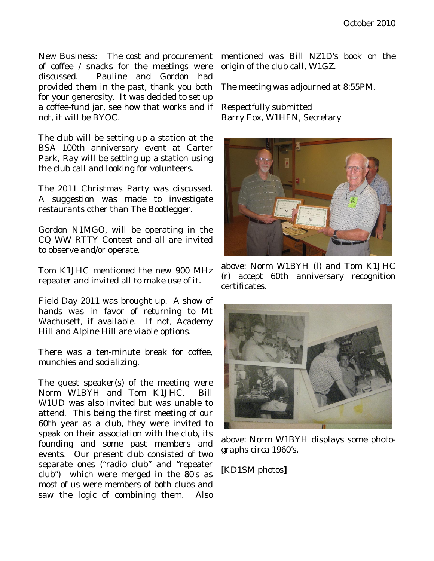New Business: The cost and procurement of coffee / snacks for the meetings were discussed. Pauline and Gordon had provided them in the past, thank you both for your generosity. It was decided to set up a coffee-fund jar, see how that works and if not, it will be BYOC.

The club will be setting up a station at the BSA 100th anniversary event at Carter Park, Ray will be setting up a station using the club call and looking for volunteers.

The 2011 Christmas Party was discussed. A suggestion was made to investigate restaurants other than The Bootlegger.

Gordon N1MGO, will be operating in the CQ WW RTTY Contest and all are invited to observe and/or operate.

Tom K1JHC mentioned the new 900 MHz repeater and invited all to make use of it.

Field Day 2011 was brought up. A show of hands was in favor of returning to Mt Wachusett, if available. If not, Academy Hill and Alpine Hill are viable options.

There was a ten-minute break for coffee, munchies and socializing.

The guest speaker(s) of the meeting were Norm W1BYH and Tom K1JHC. Bill W1UD was also invited but was unable to attend. This being the first meeting of our 60th year as a club, they were invited to speak on their association with the club, its founding and some past members and events. Our present club consisted of two separate ones ("radio club" and "repeater club") which were merged in the 80's as most of us were members of both clubs and saw the logic of combining them. Also mentioned was Bill NZ1D's book on the origin of the club call, W1GZ.

The meeting was adjourned at 8:55PM.

Respectfully submitted Barry Fox, W1HFN, Secretary



above: Norm W1BYH (l) and Tom K1JHC (r) accept 60th anniversary recognition certificates.



above: Norm W1BYH displays some photographs circa 1960's.

[KD1SM photos**]**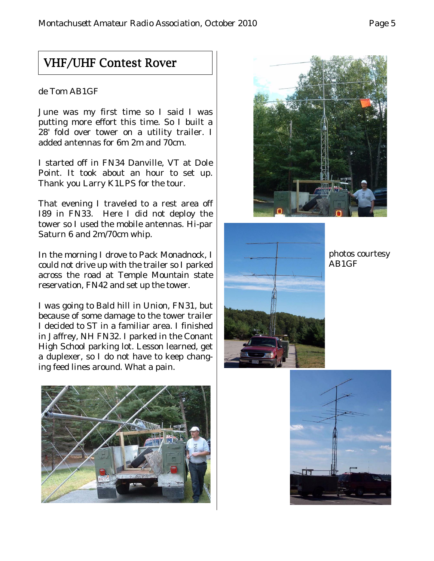## VHF/UHF Contest Rover

#### de Tom AB1GF

June was my first time so I said I was putting more effort this time. So I built a 28' fold over tower on a utility trailer. I added antennas for 6m 2m and 70cm.

I started off in FN34 Danville, VT at Dole Point. It took about an hour to set up. Thank you Larry K1LPS for the tour.

That evening I traveled to a rest area off I89 in FN33. Here I did not deploy the tower so I used the mobile antennas. Hi-par Saturn 6 and 2m/70cm whip.

In the morning I drove to Pack Monadnock, I could not drive up with the trailer so I parked across the road at Temple Mountain state reservation, FN42 and set up the tower.

I was going to Bald hill in Union, FN31, but because of some damage to the tower trailer I decided to ST in a familiar area. I finished in Jaffrey, NH FN32. I parked in the Conant High School parking lot. Lesson learned, get a duplexer, so I do not have to keep changing feed lines around. What a pain.





photos courtesy